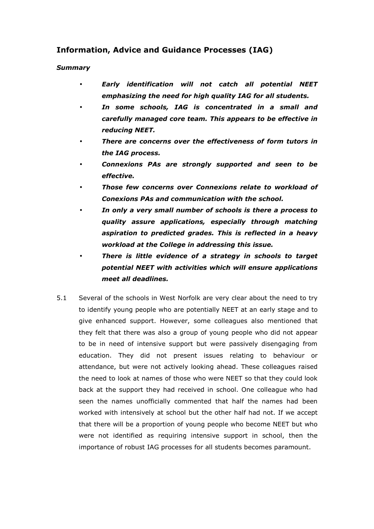## Information, Advice and Guidance Processes (IAG)

## Summary

- Early identification will not catch all potential NEET emphasizing the need for high quality IAG for all students.
- In some schools, IAG is concentrated in a small and carefully managed core team. This appears to be effective in reducing NEET.
- There are concerns over the effectiveness of form tutors in the IAG process.
- Connexions PAs are strongly supported and seen to be effective.
- Those few concerns over Connexions relate to workload of Conexions PAs and communication with the school.
- In only a very small number of schools is there a process to quality assure applications, especially through matching aspiration to predicted grades. This is reflected in a heavy workload at the College in addressing this issue.
- There is little evidence of a strategy in schools to target potential NEET with activities which will ensure applications meet all deadlines.
- 5.1 Several of the schools in West Norfolk are very clear about the need to try to identify young people who are potentially NEET at an early stage and to give enhanced support. However, some colleagues also mentioned that they felt that there was also a group of young people who did not appear to be in need of intensive support but were passively disengaging from education. They did not present issues relating to behaviour or attendance, but were not actively looking ahead. These colleagues raised the need to look at names of those who were NEET so that they could look back at the support they had received in school. One colleague who had seen the names unofficially commented that half the names had been worked with intensively at school but the other half had not. If we accept that there will be a proportion of young people who become NEET but who were not identified as requiring intensive support in school, then the importance of robust IAG processes for all students becomes paramount.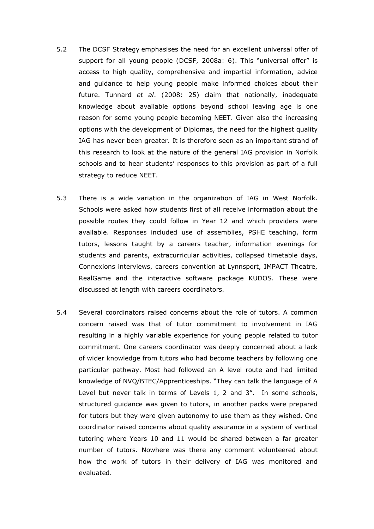- 5.2 The DCSF Strategy emphasises the need for an excellent universal offer of support for all young people (DCSF, 2008a: 6). This "universal offer" is access to high quality, comprehensive and impartial information, advice and guidance to help young people make informed choices about their future. Tunnard  $et$  al. (2008: 25) claim that nationally, inadequate knowledge about available options beyond school leaving age is one reason for some young people becoming NEET. Given also the increasing options with the development of Diplomas, the need for the highest quality IAG has never been greater. It is therefore seen as an important strand of this research to look at the nature of the general IAG provision in Norfolk schools and to hear students' responses to this provision as part of a full strategy to reduce NEET.
- 5.3 There is a wide variation in the organization of IAG in West Norfolk. Schools were asked how students first of all receive information about the possible routes they could follow in Year 12 and which providers were available. Responses included use of assemblies, PSHE teaching, form tutors, lessons taught by a careers teacher, information evenings for students and parents, extracurricular activities, collapsed timetable days, Connexions interviews, careers convention at Lynnsport, IMPACT Theatre, RealGame and the interactive software package KUDOS. These were discussed at length with careers coordinators.
- 5.4 Several coordinators raised concerns about the role of tutors. A common concern raised was that of tutor commitment to involvement in IAG resulting in a highly variable experience for young people related to tutor commitment. One careers coordinator was deeply concerned about a lack of wider knowledge from tutors who had become teachers by following one particular pathway. Most had followed an A level route and had limited knowledge of NVQ/BTEC/Apprenticeships. "They can talk the language of A Level but never talk in terms of Levels 1, 2 and 3". In some schools, structured guidance was given to tutors, in another packs were prepared for tutors but they were given autonomy to use them as they wished. One coordinator raised concerns about quality assurance in a system of vertical tutoring where Years 10 and 11 would be shared between a far greater number of tutors. Nowhere was there any comment volunteered about how the work of tutors in their delivery of IAG was monitored and evaluated.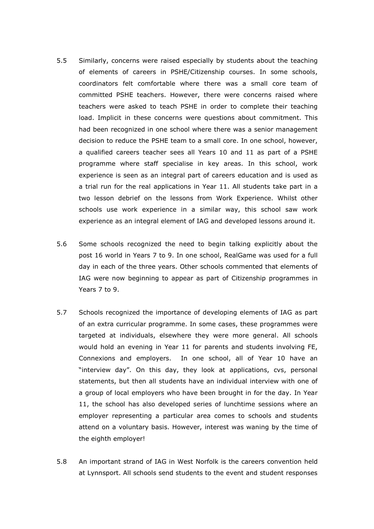- 5.5 Similarly, concerns were raised especially by students about the teaching of elements of careers in PSHE/Citizenship courses. In some schools, coordinators felt comfortable where there was a small core team of committed PSHE teachers. However, there were concerns raised where teachers were asked to teach PSHE in order to complete their teaching load. Implicit in these concerns were questions about commitment. This had been recognized in one school where there was a senior management decision to reduce the PSHE team to a small core. In one school, however, a qualified careers teacher sees all Years 10 and 11 as part of a PSHE programme where staff specialise in key areas. In this school, work experience is seen as an integral part of careers education and is used as a trial run for the real applications in Year 11. All students take part in a two lesson debrief on the lessons from Work Experience. Whilst other schools use work experience in a similar way, this school saw work experience as an integral element of IAG and developed lessons around it.
- 5.6 Some schools recognized the need to begin talking explicitly about the post 16 world in Years 7 to 9. In one school, RealGame was used for a full day in each of the three years. Other schools commented that elements of IAG were now beginning to appear as part of Citizenship programmes in Years 7 to 9.
- 5.7 Schools recognized the importance of developing elements of IAG as part of an extra curricular programme. In some cases, these programmes were targeted at individuals, elsewhere they were more general. All schools would hold an evening in Year 11 for parents and students involving FE, Connexions and employers. In one school, all of Year 10 have an "interview day". On this day, they look at applications, cvs, personal statements, but then all students have an individual interview with one of a group of local employers who have been brought in for the day. In Year 11, the school has also developed series of lunchtime sessions where an employer representing a particular area comes to schools and students attend on a voluntary basis. However, interest was waning by the time of the eighth employer!
- 5.8 An important strand of IAG in West Norfolk is the careers convention held at Lynnsport. All schools send students to the event and student responses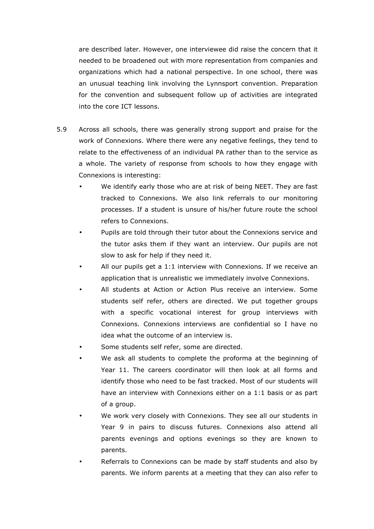are described later. However, one interviewee did raise the concern that it needed to be broadened out with more representation from companies and organizations which had a national perspective. In one school, there was an unusual teaching link involving the Lynnsport convention. Preparation for the convention and subsequent follow up of activities are integrated into the core ICT lessons.

- 5.9 Across all schools, there was generally strong support and praise for the work of Connexions. Where there were any negative feelings, they tend to relate to the effectiveness of an individual PA rather than to the service as a whole. The variety of response from schools to how they engage with Connexions is interesting:
	- We identify early those who are at risk of being NEET. They are fast tracked to Connexions. We also link referrals to our monitoring processes. If a student is unsure of his/her future route the school refers to Connexions.
	- Pupils are told through their tutor about the Connexions service and the tutor asks them if they want an interview. Our pupils are not slow to ask for help if they need it.
	- All our pupils get a 1:1 interview with Connexions. If we receive an application that is unrealistic we immediately involve Connexions.
	- All students at Action or Action Plus receive an interview. Some students self refer, others are directed. We put together groups with a specific vocational interest for group interviews with Connexions. Connexions interviews are confidential so I have no idea what the outcome of an interview is.
	- Some students self refer, some are directed.
	- We ask all students to complete the proforma at the beginning of Year 11. The careers coordinator will then look at all forms and identify those who need to be fast tracked. Most of our students will have an interview with Connexions either on a 1:1 basis or as part of a group.
	- We work very closely with Connexions. They see all our students in Year 9 in pairs to discuss futures. Connexions also attend all parents evenings and options evenings so they are known to parents.
	- Referrals to Connexions can be made by staff students and also by parents. We inform parents at a meeting that they can also refer to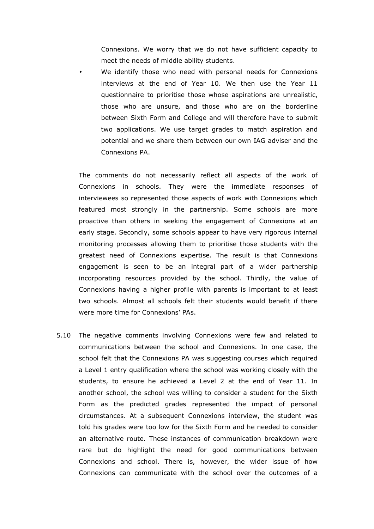Connexions. We worry that we do not have sufficient capacity to meet the needs of middle ability students.

We identify those who need with personal needs for Connexions interviews at the end of Year 10. We then use the Year 11 questionnaire to prioritise those whose aspirations are unrealistic, those who are unsure, and those who are on the borderline between Sixth Form and College and will therefore have to submit two applications. We use target grades to match aspiration and potential and we share them between our own IAG adviser and the Connexions PA.

The comments do not necessarily reflect all aspects of the work of Connexions in schools. They were the immediate responses of interviewees so represented those aspects of work with Connexions which featured most strongly in the partnership. Some schools are more proactive than others in seeking the engagement of Connexions at an early stage. Secondly, some schools appear to have very rigorous internal monitoring processes allowing them to prioritise those students with the greatest need of Connexions expertise. The result is that Connexions engagement is seen to be an integral part of a wider partnership incorporating resources provided by the school. Thirdly, the value of Connexions having a higher profile with parents is important to at least two schools. Almost all schools felt their students would benefit if there were more time for Connexions' PAs.

5.10 The negative comments involving Connexions were few and related to communications between the school and Connexions. In one case, the school felt that the Connexions PA was suggesting courses which required a Level 1 entry qualification where the school was working closely with the students, to ensure he achieved a Level 2 at the end of Year 11. In another school, the school was willing to consider a student for the Sixth Form as the predicted grades represented the impact of personal circumstances. At a subsequent Connexions interview, the student was told his grades were too low for the Sixth Form and he needed to consider an alternative route. These instances of communication breakdown were rare but do highlight the need for good communications between Connexions and school. There is, however, the wider issue of how Connexions can communicate with the school over the outcomes of a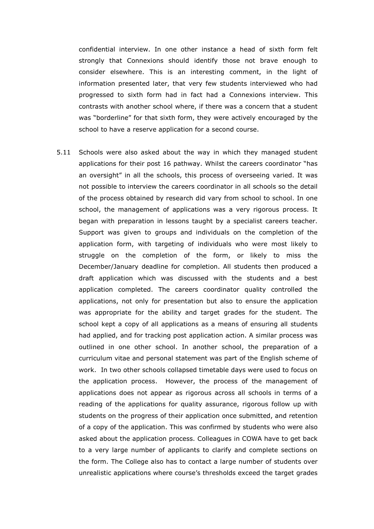confidential interview. In one other instance a head of sixth form felt strongly that Connexions should identify those not brave enough to consider elsewhere. This is an interesting comment, in the light of information presented later, that very few students interviewed who had progressed to sixth form had in fact had a Connexions interview. This contrasts with another school where, if there was a concern that a student was "borderline" for that sixth form, they were actively encouraged by the school to have a reserve application for a second course.

5.11 Schools were also asked about the way in which they managed student applications for their post 16 pathway. Whilst the careers coordinator "has an oversight" in all the schools, this process of overseeing varied. It was not possible to interview the careers coordinator in all schools so the detail of the process obtained by research did vary from school to school. In one school, the management of applications was a very rigorous process. It began with preparation in lessons taught by a specialist careers teacher. Support was given to groups and individuals on the completion of the application form, with targeting of individuals who were most likely to struggle on the completion of the form, or likely to miss the December/January deadline for completion. All students then produced a draft application which was discussed with the students and a best application completed. The careers coordinator quality controlled the applications, not only for presentation but also to ensure the application was appropriate for the ability and target grades for the student. The school kept a copy of all applications as a means of ensuring all students had applied, and for tracking post application action. A similar process was outlined in one other school. In another school, the preparation of a curriculum vitae and personal statement was part of the English scheme of work. In two other schools collapsed timetable days were used to focus on the application process. However, the process of the management of applications does not appear as rigorous across all schools in terms of a reading of the applications for quality assurance, rigorous follow up with students on the progress of their application once submitted, and retention of a copy of the application. This was confirmed by students who were also asked about the application process. Colleagues in COWA have to get back to a very large number of applicants to clarify and complete sections on the form. The College also has to contact a large number of students over unrealistic applications where course's thresholds exceed the target grades